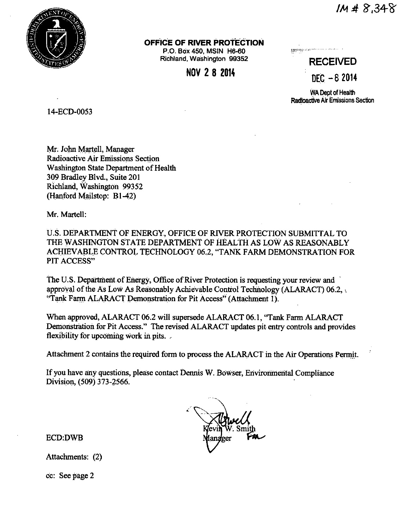

## OFFICE OF RIVER PROTECTION

P.O. Box 450, MSIN H6-60 Richland, Washington 99352

NOV 2 8 2014

**Miniterralment community** 

**RECEIVED**  $DEC - 82014$ 

**WA Dept of Health** Radioactive Air Emissions Section

14-ECD-0053

Mr. John Martell, Manager Radioactive Air Emissions Section Washington State Department of Health 309 Bradley Blvd., Suite 201 Richland, Washington 99352 (Hanford Mailstop: B1-42)

Mr. Martell:

U.S. DEPARTMENT OF ENERGY, OFFICE OF RIVER PROTECTION SUBMITTAL TO THE WASHINGTON STATE DEPARTMENT OF HEALTH AS LOW AS REASONABLY ACHIEVABLE CONTROL TECHNOLOGY 06.2, "TANK FARM DEMONSTRATION FOR PIT ACCESS"

The U.S. Department of Energy, Office of River Protection is requesting your review and approval of the As Low As Reasonably Achievable Control Technology (ALARACT) 06.2, "Tank Farm ALARACT Demonstration for Pit Access" (Attachment 1).

When approved, ALARACT 06.2 will supersede ALARACT 06.1, "Tank Farm ALARACT Demonstration for Pit Access." The revised ALARACT updates pit entry controls and provides flexibility for upcoming work in pits.

Attachment 2 contains the required form to process the ALARACT in the Air Operations Permit.

If you have any questions, please contact Dennis W. Bowser, Environmental Compliance Division, (509) 373-2566.

**ECD:DWB** 

Attachments: (2)

cc: See page 2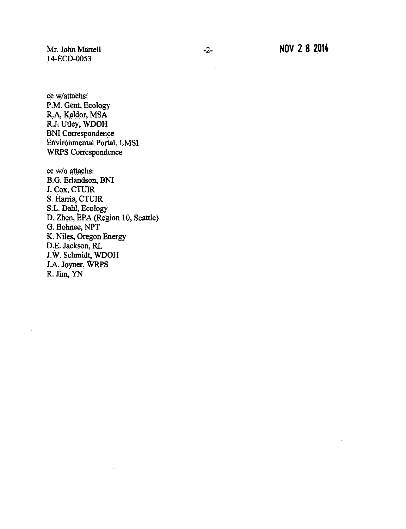Mr. John Martell 14-ECD-0053

cc w/attachs: P.M. Gent, Ecology R.A. Kaldor, MSA R.J. Utley, WDOH BNI Correspondence Environmental Portal, LMSI WRPS Correspondence

cc w/o attachs: B.G. Erlandson, BNJ J. Cox, CTUIR S. Harris, CTUIR S.L. Dahl, Ecology D. Zhen, EPA (Region 10, Seattle) G. Bohnee, NPT K. Niles, Oregon Energy D.E. Jackson, RL J.W. Schmidt, WDOH J.A. Joyner, WRPS R. Jim, YN

i.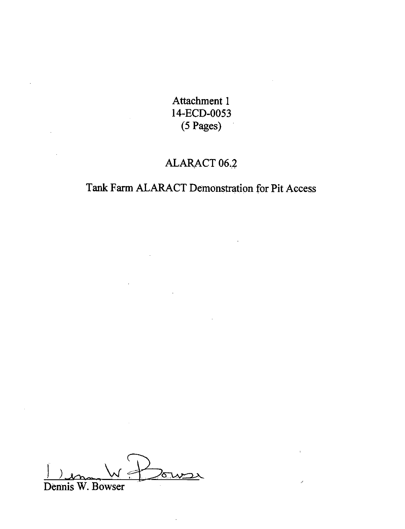Attachment 1 14-ECD-0053  $(5$  Pages)

# ALARACT 06.2

# Tank Farm ALARACT Demonstration for Pit Access

Dennis W. Bowser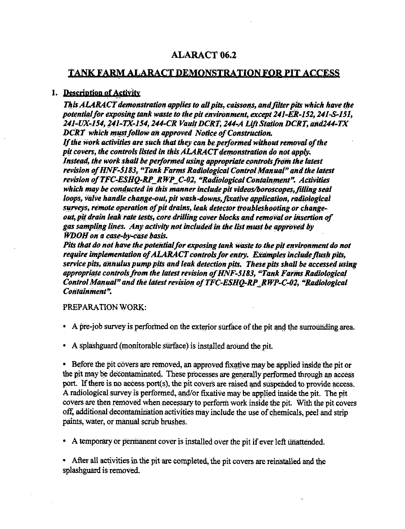## ALARACT 06,2

## TANK FARM ALARACT DEMONSTRATION FOR PIT ACCESS

## **1. Description of Activity**

*This ALARACT demonstration applies to all pits, caissons, and filter pits which have the potential for exposing tank waste to the pit environment, except 241-ER-152, 241-S-151, 241-UX,154, )41-TX-154, 244-CR Vault DCRT, 244-A Lift Station DCRT, and244-TX DCRT which must follow an approved Notice of Construction.* 

*If the work activities are such that they can be performed without removal of the pit covers, the controls listed in this ALARACT demonstration do not apply. Instead, the work shall be performed using appropriate controls from the latest revision of HNF-5183, "Tank Farms Radiological Control Manual" and the latest revision of TFC-ESHQ-RP\_RWP\_C-02, "Radiological Containment". Activities* which may be conducted in this manner include pit videos/boroscopes, filling seal *loops, valve handle change-out, pit wash-downs, fixative application, radiological surveys, remote. operation of pit drains, leak detector troubleshooting or change*out, pit drain leak rate tests, core drilling cover blocks and removal or insertion of gas sampling lines. Any activity not included in the list must be approved by *WDOH on a case-by-case basis.* 

Pits that do not have the potential for exposing tank waste to the pit environment do not require implementation of ALARACT controls for entry. Examples include flush pits, *service pits, annulus pump pits and leak detection pits. These pits shall be accessed using* appropriate controls from the latest revision of HNF-5183, "Tank Farms Radiological *Control Manual" and the latest revision o/TFC-ESHQ-RP ~RWP-C-02, "Radiological Containment".* 

PREPARATION WORK:

- A pre-job survey is performed on the exterior surface of the pit and the surrounding area.
- A splashguard (monitorable surface) is installed around the pit.

• Before the pit covers are removed, an approved fixative may be applied inside the pit or the pit may be decontaminated. These processes are generally performed through an access port. If there is no access port(s), the pit covers are raised and suspended to provide access. A radiological survey is performed, and/or fixative may be applied inside the pit. The pit covers are then removed when necessary to perform work inside the pit. With the pit covers off, additional decontamination activities may include the use of chemicals, peel and strip paints, water, or manual scrub brushes.

• A temporary or permanent cover is installed over the pit if ever left unattended.

• After all activities in the pit are completed, the pit covers are reinstalled and the splashguard is removed.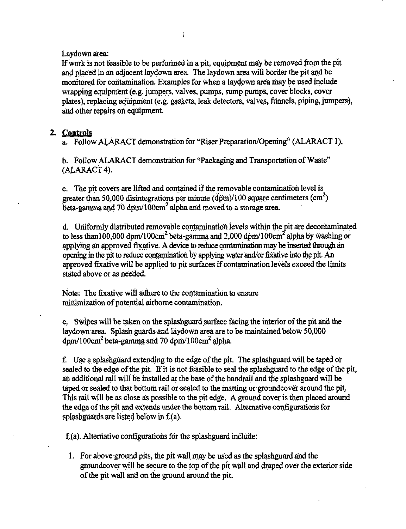Laydown area:

If work is not feasible to be performed in a pit, equipment may be removed from the pit and placed in an adjacent laydown area. The laydown area will border the pit and be monitored for contamination. Examples for when a laydown area may be used include wrapping equipment (e.g. jumpers, valves, pumps, sump pumps, cover blocks, cover plates), replacing equipment (e.g. gaskets, leak detectors, valves, funnels, piping, jumpers), and other repairs on equipment.

## **2. Controls**

a. Follow ALARACT demonstration for "Riser Preparation/Opening'' (ALARACT 1).

b. Follow ALARACT demonstration for "Packaging and Transportation of Waste"  $(ALARACT4)$ .

c. The pit covers are lifted and contained if the removable contamination level is greater than 50,000 disintegrations per minute ( $d\hat{p}$ m)/100 square centimeters (cm<sup>2</sup>) beta-gamma and 70 dpm/100cm<sup>2</sup> alpha and moved to a storage area.

d. Uniformly distributed removable contamination levels within the pit are decontaminated to less than 100,000 dpm/100cm<sup>2</sup> beta-gamma and 2,000 dpm/100cm<sup>2</sup> alpha by washing or applying an approved fixative. A device to reduce contamination may be inserted through an opening in the pit to reduce contamination by applying water and/or fixative into the pit. An approved fixative Will be applied to pit surfaces if contamination levels exceed the limits stated above or as needed.

Note: The fixative will adhere to the contamination to ensure minimization of potential airborne contamination.

e. Swipes will be taken on the splash guard surface facing the interior of the pit and the laydown area. Splash guards and laydown area are to be maintained below 50,000  $\text{dom}/100\text{cm}^2$  beta-gamma and 70 dpm/100cm<sup>2</sup> alpha.

f. Use a splashguard extending to the edge of the pit. The splashguard will be taped or sealed to the edge of the pit. If it is not feasible to seal the splashguard to the edge of the pit, an additional rail will be installed at the base of the handrail and the splashguard will be taped or sealed to that bottom rail or sealed to the matting or groundcover around the pit, This rail will be as close as possible to the pit edge. A ground cover is then placed around the edge of the pit and extends under the bottom rail. Alternative configurations for splashguards are listed below in f;(a).

 $f(a)$ . Alternative configurations for the splash guard include:

1. For above ground pits, the pit wall may be used as the splash guard and the gtoundcover will be secure to the top of the pit wall and draped over the exterior side of the pit wall and on the ground around the *pit.*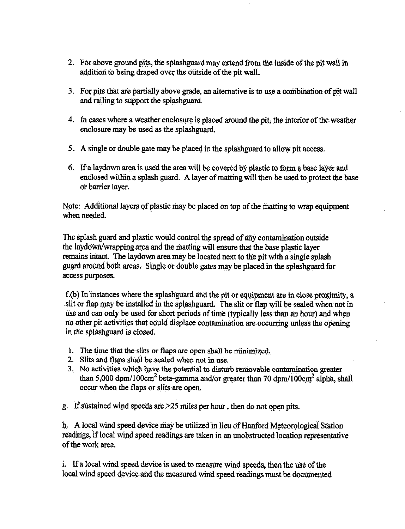- 2. For above ground pits, the splashguard may extend from the inside of the pit wall in addition to being draped over the outside of the pit wall.
- 3. For pits that are partially above grade, an alternative is to use a combination of pit wall and railing to support the splashguard.
- 4. In cases where a weather enclosure is placed around the pit, the interior of the weather enclosure may be used as the splashguard.
- 5. A single or double gate may be placed in the splash guard to allow pit access.
- 6.. Ifa laydown area is used the area will be covered by plastic to fonn a base 1a:yer and enclosed within a splash guard. A layer of matting will then be used to protect the base or barrier layer.

Note: Additional layers of plastic may be placed on top of the matting to wrap equipment when needed.

The splash guard and plastic woilld control the spread of any contamination outside the laydown/wrapping area and the matting will ensure that the base plastic layer remains intact. The laydown area may be located next to the pit with a single splash guard around both areas. Single or double gates may be placed in the splashguard for access purposes.

 $f(b)$  In instances where the splashguard and the pit or equipment are in close proximity, a slit or flap may be installed in the splashguard. The slit or flap will be sealed when not in use and can only be used for short periods of time (typically less than an hour) and when no other pit activities that could displace contamination are occurring unless the opening in the splashguard is closed.

- 1. The time that the slits or flaps are open shall be minimized.
- 2. Slits and flaps shall be sealed when not in use.
- 3. No activities which have the potential to disturb removable contamination greater than 5,000 dpm/100cm<sup>2</sup> beta-gamma and/or greater than 70 dpm/100cm<sup>2</sup> alpha, shall occur when the flaps or slits are open.

g. If sustained wind speeds are  $>25$  miles per hour, then do not open pits.

h. A local wind speed device may be utilized in lieu of Hanford Meteorological Station readings, if local wind speed readings are taken in an unobstructed location representative of the work area.

i. If a local wind speed device is used to measure wind speeds, then the use of the local wind speed device and the measured wind speed readings must be documented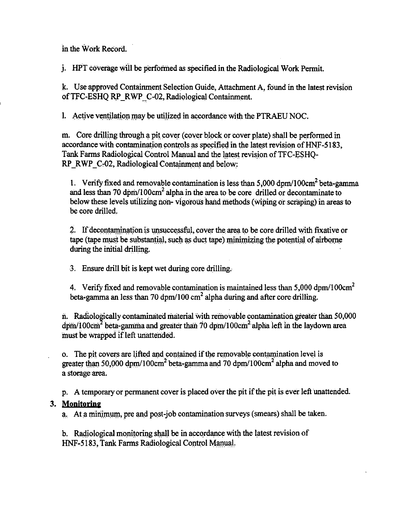in the Work Record.

*i.* HPT coverage will be performed as specified in the Radiological Work Permit.

k. Use approved Containment Selection Guide, Attachment A, found in the latest revision of TFC-ESHQ RP RWP C-02, Radiological Containment.

1. Active ventilation may be utilized in accordance with the PTRAEU NOC.

m. Core drilling through a pit cover (cover block or cover plate) shall be performed in accordance with contamination controls as specified in the latest revision of HNF-5183. Tank Farms Radiological Control Manual and the latest revision of TFC-ESHO-RP RWP C-02, Radiological Containment and below:

1. Verify fixed and removable contamination is less than  $5.000 \text{ dom}/100 \text{cm}^2$  beta-gamma and less than 70 dpm/100 $cm<sup>2</sup>$  alpha in the area to be core drilled or decontaminate to below these levels utilizing non-vigorous hand methods (wiping or scraping) in areas to be core drilled.

2. If decontamination is unsuccessful, cover the area to be core drilled with fixative or tape (tape must be substantial, such as duct tape) minimizing the potential of airborne during the initial drilling.

3. Ensure drill bit is kept wet during core drilling.

4. Verify fixed and removable contamination is maintained less than 5,000 dpm/100cm<sup>2</sup> beta-gamma an less than 70 dpm/100  $\text{cm}^2$  alpha during and after core drilling.

n. Radiologically contaminated material with removable contamination greater than 50,000 dpm/100cm<sup>2</sup> beta-gamma and greater than 70 dpm/100cm<sup>2</sup> alpha left in the laydown area must be wrapped if left unattended.

o. The pit covers are lifted and contained if the removable contamination level is greater than 50,000 dpm/100cm<sup>2</sup> beta-gamma and 70 dpm/100cm<sup>2</sup> alpha and moved to a storage area.

p. A temporary or permanent cover is placed over the pit if the pit is ever left unattended.

## 3. Monitoring

a. At a minimum, pre and post-job contamination surveys (smears) shall be taken.

b. Radiological monitoring shall be in accordance with the latest revision of HNF-5183, Tank Farms Radiological Control Manual.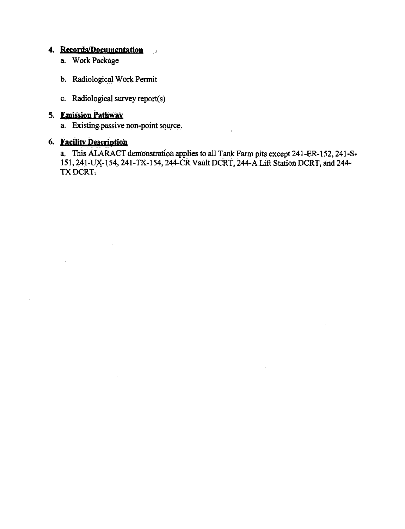#### **4. Records/Documentation**  *j*

- a. Work Package
- b. Radiological Work Permit
- c, Radiological survey report(s)

## **5. Emission Pathway**

a. Existing passive non-point source.

## **6. Facility Description**

a. This ALARACT demonstration applies to all Tank Farm pits except 241-ER-152, 241-S-151, 241-UX-154, 241-TX-154, 244-CR Vault DCRT, 244-A Lift Station DCRT, and 244-TXDCRT.

 $\mathbf{r}$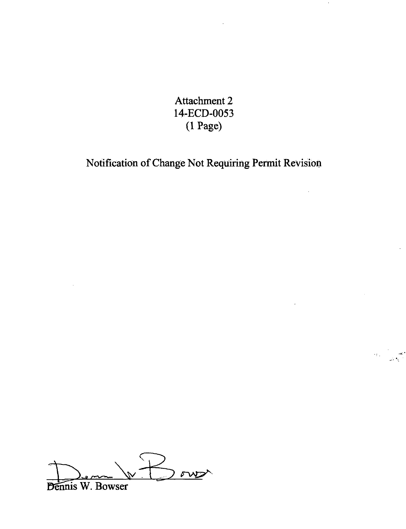Attachment 2 14-ECD-0053 (1 Page)

Notification of Change Not Requiring Permit Revision

,r.·

 $\delta$ Dennis W. Bowser